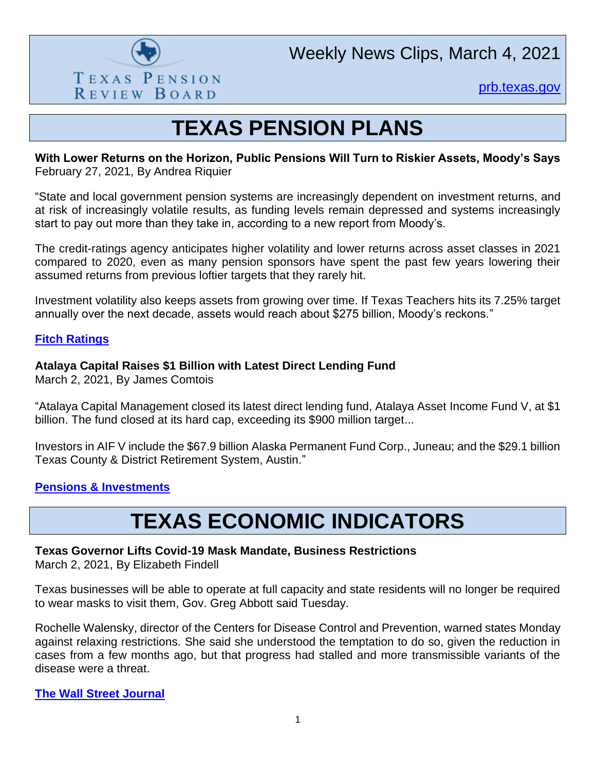

Weekly News Clips, March 4, 2021

[prb.texas.gov](http://www.prb.texas.gov/)

## **TEXAS PENSION PLANS**

#### **With Lower Returns on the Horizon, Public Pensions Will Turn to Riskier Assets, Moody's Says** February 27, 2021, By Andrea Riquier

"State and local government pension systems are increasingly dependent on investment returns, and at risk of increasingly volatile results, as funding levels remain depressed and systems increasingly start to pay out more than they take in, according to a new report from Moody's.

The credit-ratings agency anticipates higher volatility and lower returns across asset classes in 2021 compared to 2020, even as many pension sponsors have spent the past few years lowering their assumed returns from previous loftier targets that they rarely hit.

Investment volatility also keeps assets from growing over time. If Texas Teachers hits its 7.25% target annually over the next decade, assets would reach about \$275 billion, Moody's reckons."

### **[Fitch Ratings](https://www.fitchratings.com/research/us-public-finance/fitch-rates-midland-tx-go-refunding-bonds-aaa-outlook-stable-01-03-2021)**

### **Atalaya Capital Raises \$1 Billion with Latest Direct Lending Fund**

March 2, 2021, By James Comtois

"Atalaya Capital Management closed its latest direct lending fund, Atalaya Asset Income Fund V, at \$1 billion. The fund closed at its hard cap, exceeding its \$900 million target...

Investors in AIF V include the \$67.9 billion Alaska Permanent Fund Corp., Juneau; and the \$29.1 billion Texas County & District Retirement System, Austin."

## **[Pensions & Investments](https://www.pionline.com/investing/atalaya-capital-raises-1-billion-latest-direct-lending-fund)**

# **TEXAS ECONOMIC INDICATORS**

#### **Texas Governor Lifts Covid-19 Mask Mandate, Business Restrictions**

March 2, 2021, By Elizabeth Findell

Texas businesses will be able to operate at full capacity and state residents will no longer be required to wear masks to visit them, Gov. Greg Abbott said Tuesday.

Rochelle Walensky, director of the Centers for Disease Control and Prevention, warned states Monday against relaxing restrictions. She said she understood the temptation to do so, given the reduction in cases from a few months ago, but that progress had stalled and more transmissible variants of the disease were a threat.

#### **[The Wall Street Journal](https://www.wsj.com/articles/texas-governor-lifts-mask-mandate-business-restrictions-11614719502?mod=searchresults_pos12&page=1)**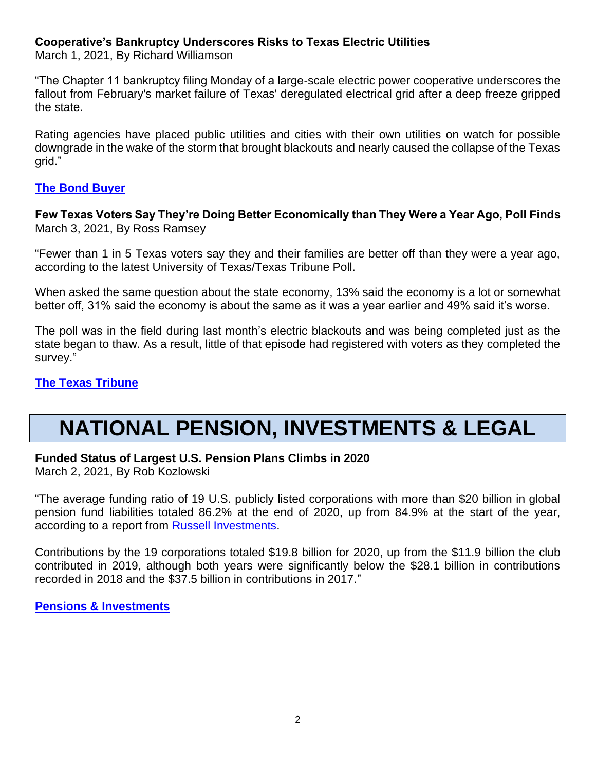### **Cooperative's Bankruptcy Underscores Risks to Texas Electric Utilities**

March 1, 2021, By Richard Williamson

"The Chapter 11 bankruptcy filing Monday of a large-scale electric power cooperative underscores the fallout from February's market failure of Texas' deregulated electrical grid after a deep freeze gripped the state.

Rating agencies have placed public utilities and cities with their own utilities on watch for possible downgrade in the wake of the storm that brought blackouts and nearly caused the collapse of the Texas grid."

#### **[The Bond Buyer](https://webcache.googleusercontent.com/search?q=cache:48tUlsIvORcJ:https://www.bondbuyer.com/news/cooperatives-bankruptcy-underscores-risks-to-texas-electric-utilities+&cd=1&hl=en&ct=clnk&gl=us)**

**Few Texas Voters Say They're Doing Better Economically than They Were a Year Ago, Poll Finds** March 3, 2021, By Ross Ramsey

"Fewer than 1 in 5 Texas voters say they and their families are better off than they were a year ago, according to the latest University of Texas/Texas Tribune Poll.

When asked the same question about the state economy, 13% said the economy is a lot or somewhat better off, 31% said the economy is about the same as it was a year earlier and 49% said it's worse.

The poll was in the field during last month's electric blackouts and was being completed just as the state began to thaw. As a result, little of that episode had registered with voters as they completed the survey."

### **[The Texas Tribune](https://www.texastribune.org/2021/03/03/texas-coronavirus-economy/)**

## **NATIONAL PENSION, INVESTMENTS & LEGAL**

#### **Funded Status of Largest U.S. Pension Plans Climbs in 2020**

March 2, 2021, By Rob Kozlowski

"The average funding ratio of 19 U.S. publicly listed corporations with more than \$20 billion in global pension fund liabilities totaled 86.2% at the end of 2020, up from 84.9% at the start of the year, according to a report from [Russell Investments.](https://www.pionline.com/search?search_phrase=Russell+Investments)

Contributions by the 19 corporations totaled \$19.8 billion for 2020, up from the \$11.9 billion the club contributed in 2019, although both years were significantly below the \$28.1 billion in contributions recorded in 2018 and the \$37.5 billion in contributions in 2017."

#### **[Pensions & Investments](https://www.pionline.com/pension-funds/funded-status-largest-us-pension-plans-climbs-2020)**